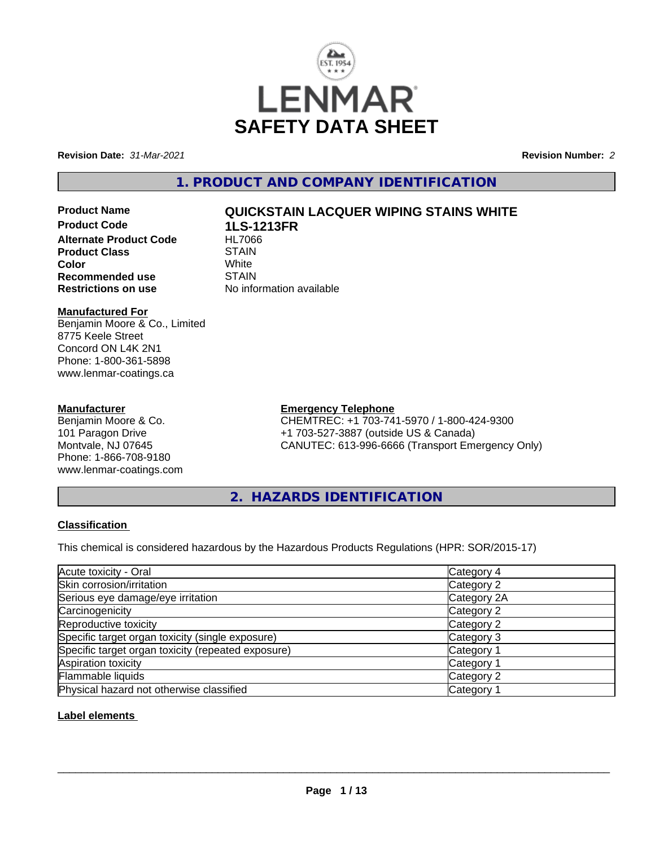

**Revision Date:** *31-Mar-2021* **Revision Number:** *2*

**1. PRODUCT AND COMPANY IDENTIFICATION**

**Product Code 1LS-1213FR Alternate Product Code HL7066**<br>Product Class STAIN **Product Class** STAIN<br> **Color** White **Color** White White **Recommended use** STAIN<br>**Restrictions on use** No info

# **Product Name QUICKSTAIN LACQUER WIPING STAINS WHITE**

**No information available** 

### **Manufactured For**

Benjamin Moore & Co., Limited 8775 Keele Street Concord ON L4K 2N1 Phone: 1-800-361-5898 www.lenmar-coatings.ca

### **Manufacturer**

Benjamin Moore & Co. 101 Paragon Drive Montvale, NJ 07645 Phone: 1-866-708-9180 www.lenmar-coatings.com

# **Emergency Telephone**

CHEMTREC: +1 703-741-5970 / 1-800-424-9300 +1 703-527-3887 (outside US & Canada) CANUTEC: 613-996-6666 (Transport Emergency Only)

**2. HAZARDS IDENTIFICATION**

### **Classification**

This chemical is considered hazardous by the Hazardous Products Regulations (HPR: SOR/2015-17)

| Acute toxicity - Oral                              | Category 4  |
|----------------------------------------------------|-------------|
| Skin corrosion/irritation                          | Category 2  |
| Serious eye damage/eye irritation                  | Category 2A |
| Carcinogenicity                                    | Category 2  |
| Reproductive toxicity                              | Category 2  |
| Specific target organ toxicity (single exposure)   | Category 3  |
| Specific target organ toxicity (repeated exposure) | Category 1  |
| Aspiration toxicity                                | Category '  |
| Flammable liquids                                  | Category 2  |
| Physical hazard not otherwise classified           | Category    |

### **Label elements**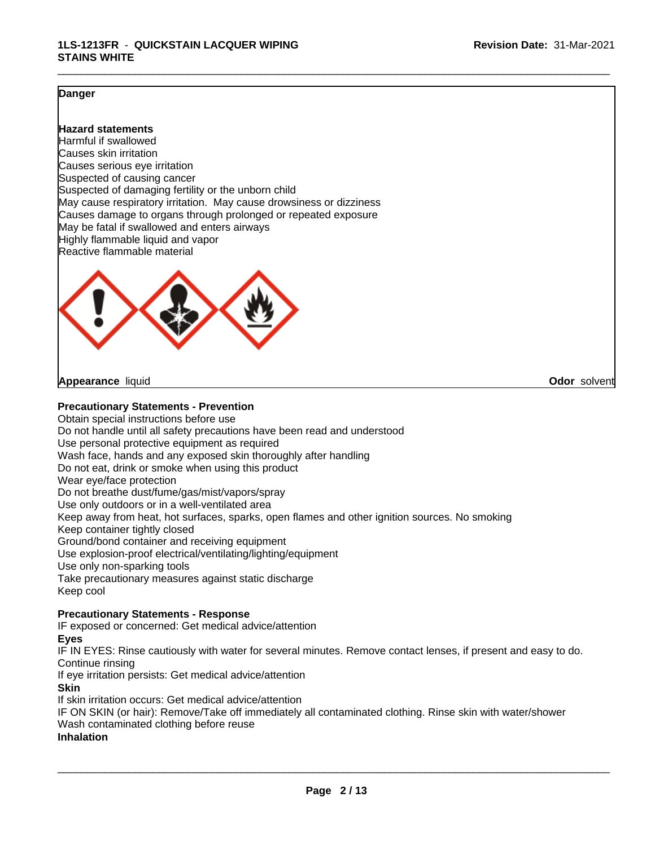#### **Danger**

#### **Hazard statements**

Harmful if swallowed Causes skin irritation Causes serious eye irritation Suspected of causing cancer Suspected of damaging fertility or the unborn child May cause respiratory irritation. May cause drowsiness or dizziness Causes damage to organs through prolonged or repeated exposure May be fatal if swallowed and enters airways Highly flammable liquid and vapor Reactive flammable material



**Appearance** liquid **Odor** solvent

#### **Precautionary Statements - Prevention**

Obtain special instructions before use Do not handle until all safety precautions have been read and understood Use personal protective equipment as required Wash face, hands and any exposed skin thoroughly after handling Do not eat, drink or smoke when using this product Wear eye/face protection Do not breathe dust/fume/gas/mist/vapors/spray Use only outdoors or in a well-ventilated area Keep away from heat, hot surfaces, sparks, open flames and other ignition sources. No smoking Keep container tightly closed Ground/bond container and receiving equipment Use explosion-proof electrical/ventilating/lighting/equipment Use only non-sparking tools Take precautionary measures against static discharge Keep cool

#### **Precautionary Statements - Response**

IF exposed or concerned: Get medical advice/attention

#### **Eyes**

IF IN EYES: Rinse cautiously with water forseveral minutes. Remove contact lenses, if present and easy to do. Continue rinsing

If eye irritation persists: Get medical advice/attention **Skin**

If skin irritation occurs: Get medical advice/attention

IF ON SKIN (or hair): Remove/Take off immediately all contaminated clothing. Rinse skin with water/shower Wash contaminated clothing before reuse

**Inhalation**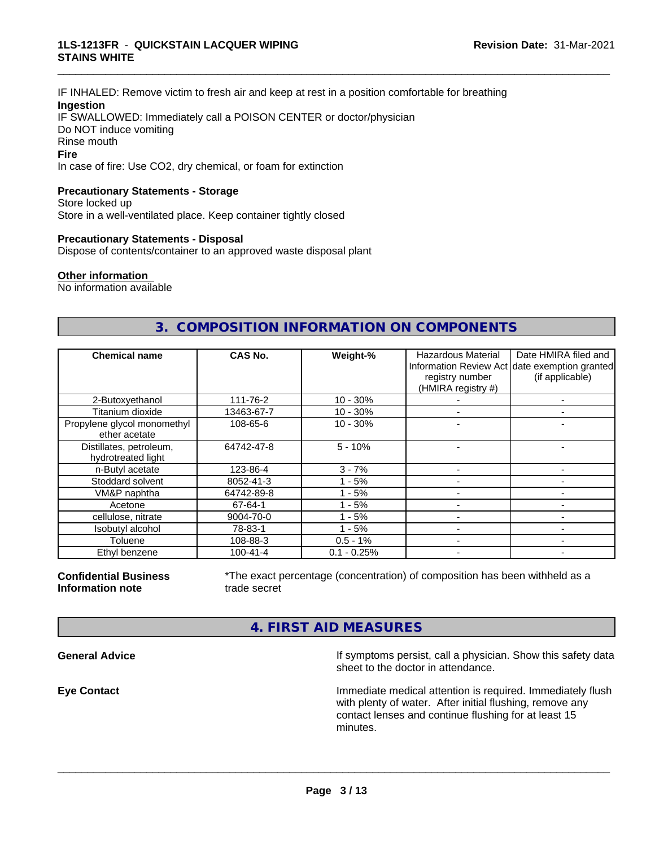#### **1LS-1213FR** - **QUICKSTAIN LACQUER WIPING STAINS WHITE**

IF INHALED: Remove victim to fresh air and keep atrest in a position comfortable for breathing **Ingestion** IF SWALLOWED: Immediately call a POISON CENTER or doctor/physician Do NOT induce vomiting Rinse mouth **Fire** In case of fire: Use CO2, dry chemical, or foam for extinction

#### **Precautionary Statements - Storage**

Store locked up Store in a well-ventilated place. Keep container tightly closed

#### **Precautionary Statements - Disposal**

Dispose of contents/container to an approved waste disposal plant

# **Other information**

No information available

# **3. COMPOSITION INFORMATION ON COMPONENTS**

\_\_\_\_\_\_\_\_\_\_\_\_\_\_\_\_\_\_\_\_\_\_\_\_\_\_\_\_\_\_\_\_\_\_\_\_\_\_\_\_\_\_\_\_\_\_\_\_\_\_\_\_\_\_\_\_\_\_\_\_\_\_\_\_\_\_\_\_\_\_\_\_\_\_\_\_\_\_\_\_\_\_\_\_\_\_\_\_\_\_\_\_\_

| <b>Chemical name</b>                          | CAS No.        | Weight-%      | <b>Hazardous Material</b><br>registry number<br>(HMIRA registry #) | Date HMIRA filed and<br>Information Review Act date exemption granted<br>(if applicable) |
|-----------------------------------------------|----------------|---------------|--------------------------------------------------------------------|------------------------------------------------------------------------------------------|
| 2-Butoxyethanol                               | 111-76-2       | $10 - 30%$    |                                                                    |                                                                                          |
| Titanium dioxide                              | 13463-67-7     | $10 - 30%$    |                                                                    | -                                                                                        |
| Propylene glycol monomethyl<br>ether acetate  | 108-65-6       | $10 - 30%$    |                                                                    |                                                                                          |
| Distillates, petroleum,<br>hydrotreated light | 64742-47-8     | $5 - 10%$     |                                                                    |                                                                                          |
| n-Butyl acetate                               | 123-86-4       | $3 - 7%$      |                                                                    |                                                                                          |
| Stoddard solvent                              | 8052-41-3      | $1 - 5%$      |                                                                    |                                                                                          |
| VM&P naphtha                                  | 64742-89-8     | $1 - 5%$      |                                                                    | ۰                                                                                        |
| Acetone                                       | 67-64-1        | - 5%          |                                                                    |                                                                                          |
| cellulose, nitrate                            | 9004-70-0      | - 5%          |                                                                    |                                                                                          |
| Isobutyl alcohol                              | 78-83-1        | $-5%$         |                                                                    |                                                                                          |
| Toluene                                       | 108-88-3       | $0.5 - 1%$    |                                                                    |                                                                                          |
| Ethyl benzene                                 | $100 - 41 - 4$ | $0.1 - 0.25%$ |                                                                    |                                                                                          |

**Confidential Business Information note**

\*The exact percentage (concentration) of composition has been withheld as a trade secret

 $\overline{\phantom{a}}$  ,  $\overline{\phantom{a}}$  ,  $\overline{\phantom{a}}$  ,  $\overline{\phantom{a}}$  ,  $\overline{\phantom{a}}$  ,  $\overline{\phantom{a}}$  ,  $\overline{\phantom{a}}$  ,  $\overline{\phantom{a}}$  ,  $\overline{\phantom{a}}$  ,  $\overline{\phantom{a}}$  ,  $\overline{\phantom{a}}$  ,  $\overline{\phantom{a}}$  ,  $\overline{\phantom{a}}$  ,  $\overline{\phantom{a}}$  ,  $\overline{\phantom{a}}$  ,  $\overline{\phantom{a}}$ 

# **4. FIRST AID MEASURES**

**General Advice If symptoms persist, call a physician. Show this safety data** If symptoms persist, call a physician. Show this safety data sheet to the doctor in attendance.

**Eye Contact Immediate medical attention is required. Immediately flush immediate medical attention is required. Immediately flush** with plenty of water. After initial flushing, remove any contact lenses and continue flushing for at least 15 minutes.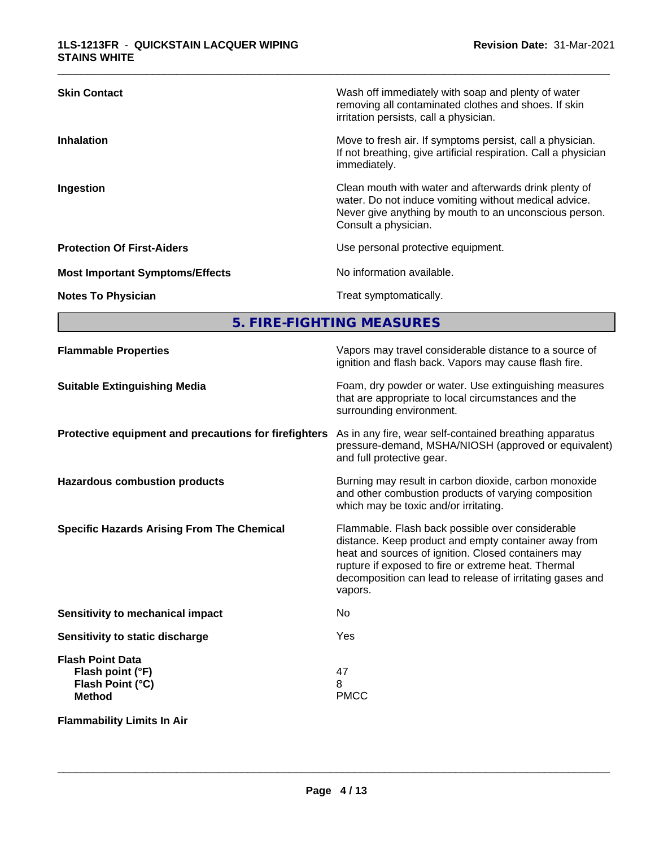| <b>Skin Contact</b>                    | Wash off immediately with soap and plenty of water<br>removing all contaminated clothes and shoes. If skin<br>irritation persists, call a physician.                                             |
|----------------------------------------|--------------------------------------------------------------------------------------------------------------------------------------------------------------------------------------------------|
| <b>Inhalation</b>                      | Move to fresh air. If symptoms persist, call a physician.<br>If not breathing, give artificial respiration. Call a physician<br>immediately.                                                     |
| Ingestion                              | Clean mouth with water and afterwards drink plenty of<br>water. Do not induce vomiting without medical advice.<br>Never give anything by mouth to an unconscious person.<br>Consult a physician. |
| <b>Protection Of First-Aiders</b>      | Use personal protective equipment.                                                                                                                                                               |
| <b>Most Important Symptoms/Effects</b> | No information available.                                                                                                                                                                        |
| <b>Notes To Physician</b>              | Treat symptomatically.                                                                                                                                                                           |

**5. FIRE-FIGHTING MEASURES**

| <b>Flammable Properties</b>                                                      | Vapors may travel considerable distance to a source of<br>ignition and flash back. Vapors may cause flash fire.                                                                                                                                                                                |
|----------------------------------------------------------------------------------|------------------------------------------------------------------------------------------------------------------------------------------------------------------------------------------------------------------------------------------------------------------------------------------------|
| <b>Suitable Extinguishing Media</b>                                              | Foam, dry powder or water. Use extinguishing measures<br>that are appropriate to local circumstances and the<br>surrounding environment.                                                                                                                                                       |
| Protective equipment and precautions for firefighters                            | As in any fire, wear self-contained breathing apparatus<br>pressure-demand, MSHA/NIOSH (approved or equivalent)<br>and full protective gear.                                                                                                                                                   |
| <b>Hazardous combustion products</b>                                             | Burning may result in carbon dioxide, carbon monoxide<br>and other combustion products of varying composition<br>which may be toxic and/or irritating.                                                                                                                                         |
| <b>Specific Hazards Arising From The Chemical</b>                                | Flammable. Flash back possible over considerable<br>distance. Keep product and empty container away from<br>heat and sources of ignition. Closed containers may<br>rupture if exposed to fire or extreme heat. Thermal<br>decomposition can lead to release of irritating gases and<br>vapors. |
| <b>Sensitivity to mechanical impact</b>                                          | No                                                                                                                                                                                                                                                                                             |
| Sensitivity to static discharge                                                  | Yes                                                                                                                                                                                                                                                                                            |
| <b>Flash Point Data</b><br>Flash point (°F)<br>Flash Point (°C)<br><b>Method</b> | 47<br>8<br><b>PMCC</b>                                                                                                                                                                                                                                                                         |
| <b>Flammability Limits In Air</b>                                                |                                                                                                                                                                                                                                                                                                |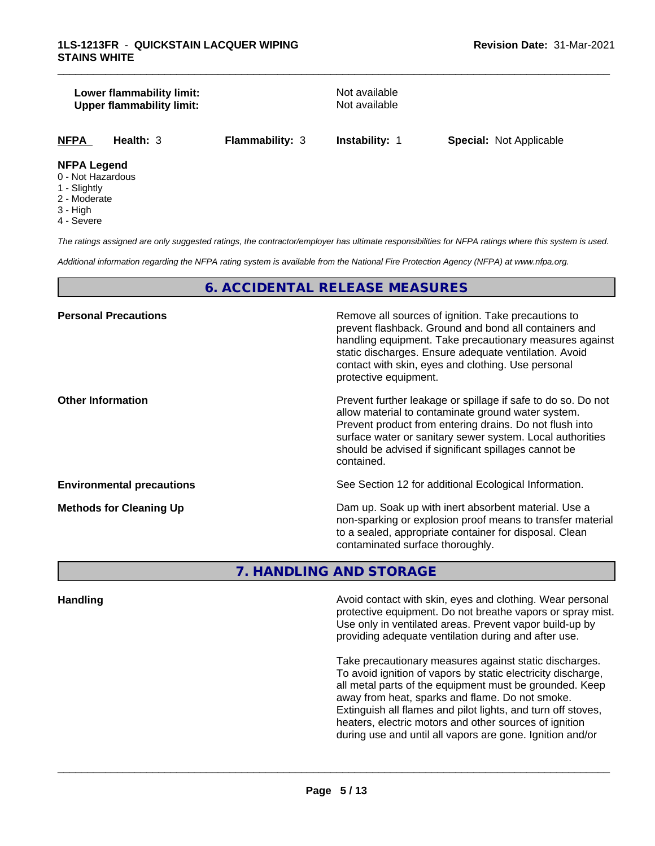#### **Lower flammability limit:**<br> **Upper flammability limit:** Not available<br>
Not available **Upper flammability limit:**

\_\_\_\_\_\_\_\_\_\_\_\_\_\_\_\_\_\_\_\_\_\_\_\_\_\_\_\_\_\_\_\_\_\_\_\_\_\_\_\_\_\_\_\_\_\_\_\_\_\_\_\_\_\_\_\_\_\_\_\_\_\_\_\_\_\_\_\_\_\_\_\_\_\_\_\_\_\_\_\_\_\_\_\_\_\_\_\_\_\_\_\_\_

**NFPA Health:** 3 **Flammability:** 3 **Instability:** 1 **Special:** Not Applicable

#### **NFPA Legend**

- 0 Not Hazardous
- 1 Slightly
- 2 Moderate
- 3 High
- 4 Severe

*The ratings assigned are only suggested ratings, the contractor/employer has ultimate responsibilities for NFPA ratings where this system is used.*

*Additional information regarding the NFPA rating system is available from the National Fire Protection Agency (NFPA) at www.nfpa.org.*

# **6. ACCIDENTAL RELEASE MEASURES**

| Remove all sources of ignition. Take precautions to<br>prevent flashback. Ground and bond all containers and<br>handling equipment. Take precautionary measures against<br>static discharges. Ensure adequate ventilation. Avoid<br>contact with skin, eyes and clothing. Use personal<br>protective equipment.  |
|------------------------------------------------------------------------------------------------------------------------------------------------------------------------------------------------------------------------------------------------------------------------------------------------------------------|
| Prevent further leakage or spillage if safe to do so. Do not<br>allow material to contaminate ground water system.<br>Prevent product from entering drains. Do not flush into<br>surface water or sanitary sewer system. Local authorities<br>should be advised if significant spillages cannot be<br>contained. |
| See Section 12 for additional Ecological Information.                                                                                                                                                                                                                                                            |
| Dam up. Soak up with inert absorbent material. Use a<br>non-sparking or explosion proof means to transfer material<br>to a sealed, appropriate container for disposal. Clean<br>contaminated surface thoroughly.                                                                                                 |
|                                                                                                                                                                                                                                                                                                                  |

**7. HANDLING AND STORAGE**

**Handling Handling Avoid contact with skin, eyes and clothing. Wear personal and <b>Handling Avoid contact with skin, eyes and clothing. Wear personal** protective equipment. Do not breathe vapors or spray mist. Use only in ventilated areas. Prevent vapor build-up by providing adequate ventilation during and after use.

> Take precautionary measures against static discharges. To avoid ignition of vapors by static electricity discharge, all metal parts of the equipment must be grounded. Keep away from heat, sparks and flame. Do not smoke. Extinguish all flames and pilot lights, and turn off stoves, heaters, electric motors and other sources of ignition during use and until all vapors are gone. Ignition and/or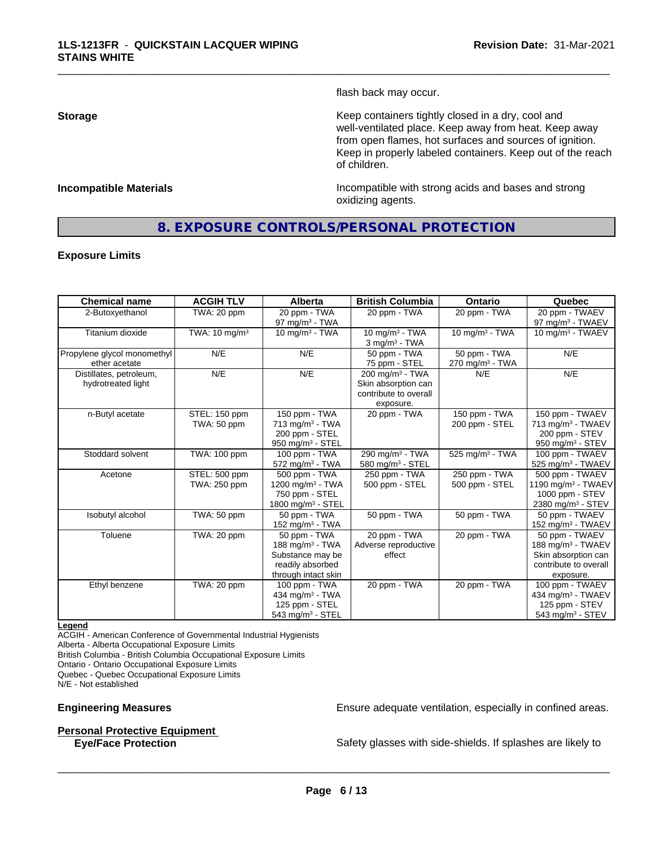flash back may occur.

\_\_\_\_\_\_\_\_\_\_\_\_\_\_\_\_\_\_\_\_\_\_\_\_\_\_\_\_\_\_\_\_\_\_\_\_\_\_\_\_\_\_\_\_\_\_\_\_\_\_\_\_\_\_\_\_\_\_\_\_\_\_\_\_\_\_\_\_\_\_\_\_\_\_\_\_\_\_\_\_\_\_\_\_\_\_\_\_\_\_\_\_\_

**Storage Keep containers tightly closed in a dry, cool and get a dry and structure in a dry and structure in a dry and structure in a dry and structure in a dry and structure in a dry and structure in a dry and structure** well-ventilated place. Keep away from heat. Keep away from open flames, hot surfaces and sources of ignition. Keep in properly labeled containers. Keep out of the reach of children.

**Incompatible Materials Incompatible with strong acids and bases and strong** oxidizing agents.

# **8. EXPOSURE CONTROLS/PERSONAL PROTECTION**

#### **Exposure Limits**

| <b>Chemical name</b>                          | <b>ACGIH TLV</b>              | <b>Alberta</b>                                                                                    | <b>British Columbia</b>                                                                    | <b>Ontario</b>                                | Quebec                                                                                                       |
|-----------------------------------------------|-------------------------------|---------------------------------------------------------------------------------------------------|--------------------------------------------------------------------------------------------|-----------------------------------------------|--------------------------------------------------------------------------------------------------------------|
| 2-Butoxyethanol                               | TWA: 20 ppm                   | 20 ppm - TWA<br>97 mg/m $3$ - TWA                                                                 | 20 ppm - TWA                                                                               | 20 ppm - TWA                                  | 20 ppm - TWAEV<br>97 mg/m <sup>3</sup> - TWAEV                                                               |
| Titanium dioxide                              | TWA: $10 \text{ mg/m}^3$      | 10 mg/m $3 - TWA$                                                                                 | $10 \text{ ma/m}^3$ - TWA<br>$3$ mg/m <sup>3</sup> - TWA                                   | $10$ mg/m <sup>3</sup> - TWA                  | 10 mg/m $3$ - TWAEV                                                                                          |
| Propylene glycol monomethyl<br>ether acetate  | N/E                           | N/E                                                                                               | 50 ppm - TWA<br>75 ppm - STEL                                                              | 50 ppm - TWA<br>$270$ mg/m <sup>3</sup> - TWA | N/E                                                                                                          |
| Distillates, petroleum,<br>hydrotreated light | N/E                           | N/E                                                                                               | $200$ mg/m <sup>3</sup> - TWA<br>Skin absorption can<br>contribute to overall<br>exposure. | N/E                                           | N/E                                                                                                          |
| n-Butyl acetate                               | STEL: 150 ppm<br>TWA: 50 ppm  | 150 ppm - TWA<br>$713$ mg/m <sup>3</sup> - TWA<br>200 ppm - STEL<br>950 mg/m <sup>3</sup> - STEL  | 20 ppm - TWA                                                                               | 150 ppm - TWA<br>200 ppm - STEL               | 150 ppm - TWAEV<br>713 mg/m <sup>3</sup> - TWAEV<br>200 ppm - STEV<br>950 mg/m $3 -$ STEV                    |
| Stoddard solvent                              | TWA: 100 ppm                  | 100 ppm - TWA<br>$572$ mg/m <sup>3</sup> - TWA                                                    | 290 mg/m <sup>3</sup> - TWA<br>580 mg/m <sup>3</sup> - STEL                                | 525 mg/m <sup>3</sup> - TWA                   | 100 ppm - TWAEV<br>525 mg/m <sup>3</sup> - TWAEV                                                             |
| Acetone                                       | STEL: 500 ppm<br>TWA: 250 ppm | 500 ppm - TWA<br>1200 mg/m <sup>3</sup> - TWA<br>750 ppm - STEL<br>1800 mg/m $3 -$ STEL           | 250 ppm - TWA<br>500 ppm - STEL                                                            | 250 ppm - TWA<br>500 ppm - STEL               | 500 ppm - TWAEV<br>1190 mg/m $3$ - TWAEV<br>1000 ppm - STEV<br>2380 mg/m <sup>3</sup> - STEV                 |
| Isobutyl alcohol                              | TWA: 50 ppm                   | 50 ppm - TWA<br>152 mg/m $3$ - TWA                                                                | 50 ppm - TWA                                                                               | 50 ppm - TWA                                  | 50 ppm - TWAEV<br>152 mg/m <sup>3</sup> - TWAEV                                                              |
| Toluene                                       | TWA: 20 ppm                   | 50 ppm - TWA<br>188 mg/m $3$ - TWA<br>Substance may be<br>readily absorbed<br>through intact skin | 20 ppm - TWA<br>Adverse reproductive<br>effect                                             | 20 ppm - TWA                                  | 50 ppm - TWAEV<br>188 mg/m <sup>3</sup> - TWAEV<br>Skin absorption can<br>contribute to overall<br>exposure. |
| Ethyl benzene                                 | TWA: 20 ppm                   | 100 ppm - TWA<br>434 mg/m <sup>3</sup> - TWA<br>125 ppm - STEL<br>$543$ mg/m <sup>3</sup> - STEL  | 20 ppm - TWA                                                                               | 20 ppm - TWA                                  | 100 ppm - TWAEV<br>434 mg/m <sup>3</sup> - TWAEV<br>125 ppm - STEV<br>543 mg/m $3 -$ STEV                    |

#### **Legend**

ACGIH - American Conference of Governmental Industrial Hygienists

Alberta - Alberta Occupational Exposure Limits British Columbia - British Columbia Occupational Exposure Limits

Ontario - Ontario Occupational Exposure Limits Quebec - Quebec Occupational Exposure Limits

N/E - Not established

### **Personal Protective Equipment**

**Engineering Measures Ensure** Ensure adequate ventilation, especially in confined areas.

**Eye/Face Protection** Safety glasses with side-shields. If splashes are likely to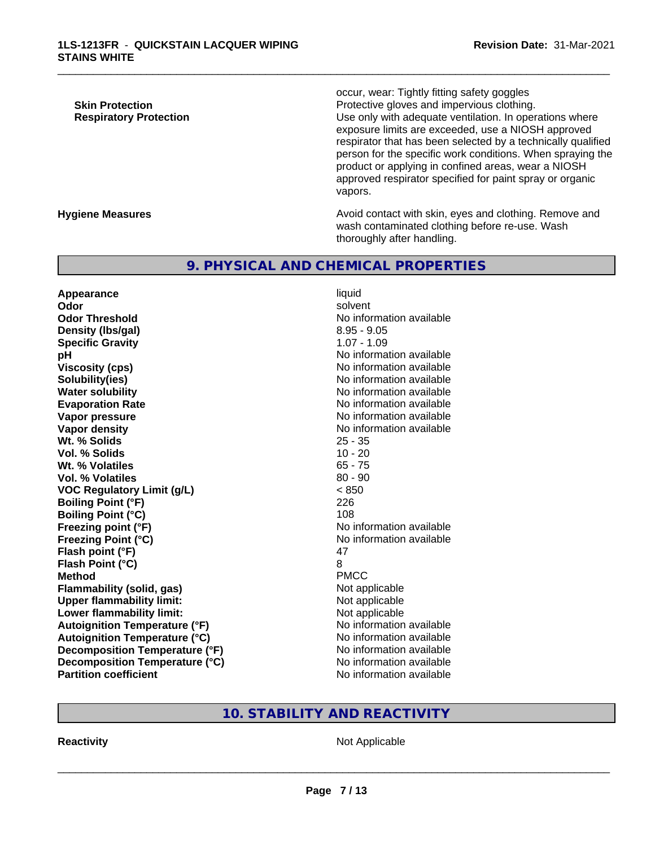occur, wear: Tightly fitting safety goggles **Skin Protection Protection** Protective gloves and impervious clothing. **Respiratory Protection Exercise 2018** Use only with adequate ventilation. In operations where exposure limits are exceeded, use a NIOSH approved respirator that has been selected by a technically qualified person for the specific work conditions. When spraying the product or applying in confined areas, wear a NIOSH approved respirator specified for paint spray or organic vapors.

**Hygiene Measures Avoid contact with skin, eyes and clothing. Remove and Hygiene Measures** and clothing. Remove and wash contaminated clothing before re-use. Wash thoroughly after handling.

# **9. PHYSICAL AND CHEMICAL PROPERTIES**

**Appearance** liquid<br> **Appearance** liquid<br> **Odor** solvent **Odor** solvent **Odor Threshold No information available** No information available **Density (Ibs/gal)** 8.95 - 9.05 **Specific Gravity** 1.07 - 1.09 **pH**<br>
Viscosity (cps) The Contract Contract Contract Contract Contract Contract Contract Contract Contract Contract C<br>
No information available **Solubility(ies)** No information available **Water solubility** No information available **Evaporation Rate No information available No information available Vapor pressure** No information available **Vapor density**<br> **We Solids**<br>
We Solids
25 - 35 **Wt. % Solids** 25 - 35<br> **Vol. % Solids** 20<br>
20 - 20 **Vol. % Solids Wt. % Volatiles** 65 - 75 **Vol. % Volatiles** 80 - 90 **VOC Regulatory Limit (g/L)** < 850 **Boiling Point (°F)** 226 **Boiling Point (°C)** 108 **Freezing point (°F)** No information available **Freezing Point (°C)** The state of the Monometer of Noinformation available **Flash point (°F)** 47 **Flash Point (°C)** 8 **Method** PMCC **Flammability (solid, gas)** Not applicable **Upper flammability limit:**<br> **Lower flammability limit:** Not applicable Not applicable **Lower flammability limit:**<br> **Autoignition Temperature (°F)** Not applicable available **Autoignition Temperature (°F) Autoignition Temperature (°C)** No information available **Decomposition Temperature (°F)** No information available **Decomposition Temperature (°C)** No information available **Partition coefficient** No information available

**Viscosity (cps)** No information available

\_\_\_\_\_\_\_\_\_\_\_\_\_\_\_\_\_\_\_\_\_\_\_\_\_\_\_\_\_\_\_\_\_\_\_\_\_\_\_\_\_\_\_\_\_\_\_\_\_\_\_\_\_\_\_\_\_\_\_\_\_\_\_\_\_\_\_\_\_\_\_\_\_\_\_\_\_\_\_\_\_\_\_\_\_\_\_\_\_\_\_\_\_

# **10. STABILITY AND REACTIVITY**

**Reactivity** Not Applicable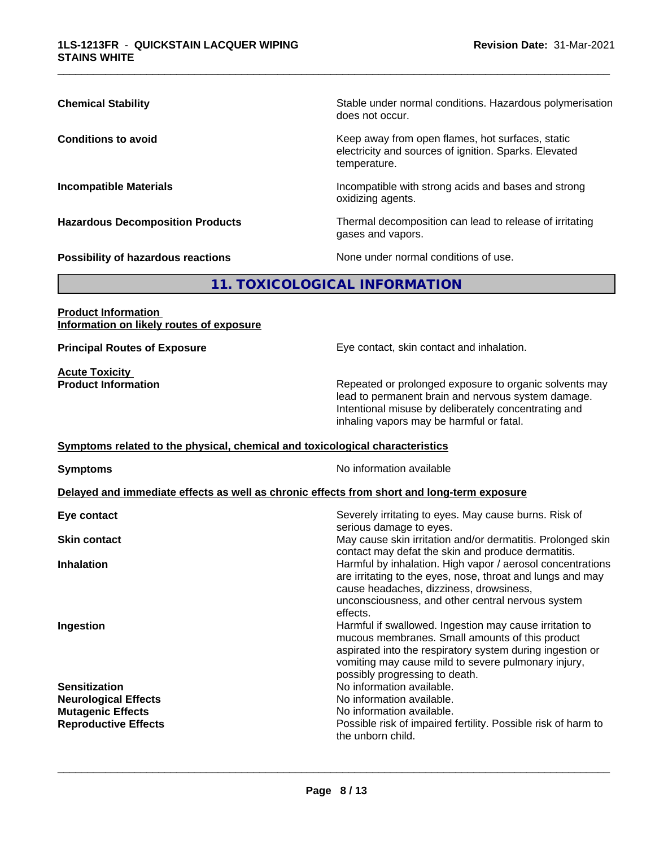| <b>Chemical Stability</b>                 | Stable under normal conditions. Hazardous polymerisation<br>does not occur.                                               |
|-------------------------------------------|---------------------------------------------------------------------------------------------------------------------------|
| <b>Conditions to avoid</b>                | Keep away from open flames, hot surfaces, static<br>electricity and sources of ignition. Sparks. Elevated<br>temperature. |
| <b>Incompatible Materials</b>             | Incompatible with strong acids and bases and strong<br>oxidizing agents.                                                  |
| <b>Hazardous Decomposition Products</b>   | Thermal decomposition can lead to release of irritating<br>gases and vapors.                                              |
| <b>Possibility of hazardous reactions</b> | None under normal conditions of use.                                                                                      |

# **11. TOXICOLOGICAL INFORMATION**

**Product Information Information on likely routes of exposure**

**Acute Toxicity** 

**Principal Routes of Exposure Exposure** Eye contact, skin contact and inhalation.

**Product Information** Repeated or prolonged exposure to organic solvents may lead to permanent brain and nervous system damage. Intentional misuse by deliberately concentrating and inhaling vapors may be harmful or fatal.

#### **Symptoms** related to the physical, chemical and toxicological characteristics

**Symptoms** No information available

#### **Delayed and immediate effects as well as chronic effects from short and long-term exposure**

| Eye contact                 | Severely irritating to eyes. May cause burns. Risk of<br>serious damage to eyes.                                                                                                                                                                                 |
|-----------------------------|------------------------------------------------------------------------------------------------------------------------------------------------------------------------------------------------------------------------------------------------------------------|
| <b>Skin contact</b>         | May cause skin irritation and/or dermatitis. Prolonged skin<br>contact may defat the skin and produce dermatitis.                                                                                                                                                |
| <b>Inhalation</b>           | Harmful by inhalation. High vapor / aerosol concentrations<br>are irritating to the eyes, nose, throat and lungs and may<br>cause headaches, dizziness, drowsiness,<br>unconsciousness, and other central nervous system<br>effects.                             |
| Ingestion                   | Harmful if swallowed. Ingestion may cause irritation to<br>mucous membranes. Small amounts of this product<br>aspirated into the respiratory system during ingestion or<br>vomiting may cause mild to severe pulmonary injury,<br>possibly progressing to death. |
| <b>Sensitization</b>        | No information available.                                                                                                                                                                                                                                        |
| <b>Neurological Effects</b> | No information available.                                                                                                                                                                                                                                        |
| <b>Mutagenic Effects</b>    | No information available.                                                                                                                                                                                                                                        |
| <b>Reproductive Effects</b> | Possible risk of impaired fertility. Possible risk of harm to<br>the unborn child.                                                                                                                                                                               |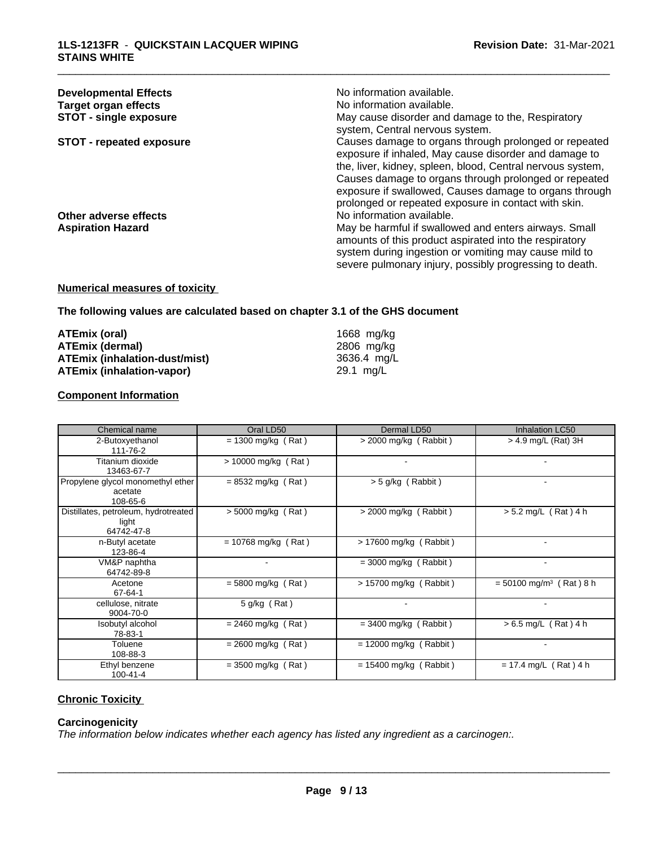| <b>Developmental Effects</b>    | No information available.                                                                                       |
|---------------------------------|-----------------------------------------------------------------------------------------------------------------|
| Target organ effects            | No information available.                                                                                       |
| <b>STOT - single exposure</b>   | May cause disorder and damage to the, Respiratory<br>system, Central nervous system.                            |
| <b>STOT - repeated exposure</b> | Causes damage to organs through prolonged or repeated<br>exposure if inhaled, May cause disorder and damage to  |
|                                 | the, liver, kidney, spleen, blood, Central nervous system,                                                      |
|                                 | Causes damage to organs through prolonged or repeated                                                           |
|                                 | exposure if swallowed, Causes damage to organs through<br>prolonged or repeated exposure in contact with skin.  |
| Other adverse effects           | No information available.                                                                                       |
| <b>Aspiration Hazard</b>        | May be harmful if swallowed and enters airways. Small<br>amounts of this product aspirated into the respiratory |
|                                 | system during ingestion or vomiting may cause mild to                                                           |
|                                 | severe pulmonary injury, possibly progressing to death.                                                         |

### **Numerical measures of toxicity**

#### **The following values are calculated based on chapter 3.1 of the GHS document**

| ATEmix (oral)                 | 1668 mg/kg  |
|-------------------------------|-------------|
| ATEmix (dermal)               | 2806 mg/ka  |
| ATEmix (inhalation-dust/mist) | 3636.4 ma/L |
| ATEmix (inhalation-vapor)     | 29.1 mg/L   |

#### **Component Information**

| Chemical name                                               | Oral LD50             | Dermal LD50              | Inhalation LC50                       |
|-------------------------------------------------------------|-----------------------|--------------------------|---------------------------------------|
| 2-Butoxyethanol<br>111-76-2                                 | $= 1300$ mg/kg (Rat)  | > 2000 mg/kg (Rabbit)    | $>$ 4.9 mg/L (Rat) 3H                 |
| Titanium dioxide<br>13463-67-7                              | $> 10000$ mg/kg (Rat) |                          |                                       |
| Propylene glycol monomethyl ether<br>acetate<br>108-65-6    | $= 8532$ mg/kg (Rat)  | > 5 g/kg (Rabbit)        |                                       |
| Distillates, petroleum, hydrotreated<br>light<br>64742-47-8 | $> 5000$ mg/kg (Rat)  | $>$ 2000 mg/kg (Rabbit)  | $> 5.2$ mg/L (Rat) 4 h                |
| n-Butyl acetate<br>123-86-4                                 | $= 10768$ mg/kg (Rat) | $> 17600$ mg/kg (Rabbit) |                                       |
| VM&P naphtha<br>64742-89-8                                  |                       | $=$ 3000 mg/kg (Rabbit)  |                                       |
| Acetone<br>67-64-1                                          | $= 5800$ mg/kg (Rat)  | $> 15700$ mg/kg (Rabbit) | $= 50100$ mg/m <sup>3</sup> (Rat) 8 h |
| cellulose, nitrate<br>9004-70-0                             | $5$ g/kg (Rat)        |                          |                                       |
| Isobutyl alcohol<br>78-83-1                                 | $= 2460$ mg/kg (Rat)  | $=$ 3400 mg/kg (Rabbit)  | $> 6.5$ mg/L (Rat) 4 h                |
| Toluene<br>108-88-3                                         | $= 2600$ mg/kg (Rat)  | $= 12000$ mg/kg (Rabbit) |                                       |
| Ethyl benzene<br>$100 - 41 - 4$                             | $=$ 3500 mg/kg (Rat)  | $= 15400$ mg/kg (Rabbit) | $= 17.4$ mg/L (Rat) 4 h               |

# **Chronic Toxicity**

# **Carcinogenicity**

*The information below indicateswhether each agency has listed any ingredient as a carcinogen:.*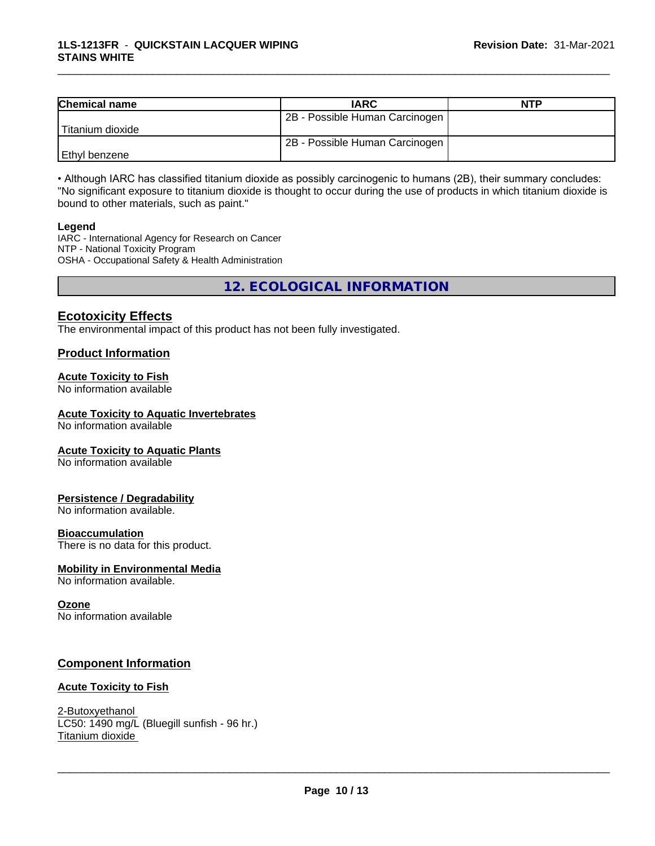| <b>Chemical name</b> | <b>IARC</b>                    | <b>NTP</b> |
|----------------------|--------------------------------|------------|
|                      | 2B - Possible Human Carcinogen |            |
| Titanium dioxide     |                                |            |
|                      | 2B - Possible Human Carcinogen |            |
| l Ethvl benzene      |                                |            |

• Although IARC has classified titanium dioxide as possibly carcinogenic to humans (2B), their summary concludes: "No significant exposure to titanium dioxide is thought to occur during the use of products in which titanium dioxide is bound to other materials, such as paint."

#### **Legend**

IARC - International Agency for Research on Cancer NTP - National Toxicity Program OSHA - Occupational Safety & Health Administration

**12. ECOLOGICAL INFORMATION**

# **Ecotoxicity Effects**

The environmental impact of this product has not been fully investigated.

#### **Product Information**

#### **Acute Toxicity to Fish**

No information available

#### **Acute Toxicity to Aquatic Invertebrates**

No information available

#### **Acute Toxicity to Aquatic Plants**

No information available

#### **Persistence / Degradability**

No information available.

#### **Bioaccumulation**

There is no data for this product.

#### **Mobility in Environmental Media**

No information available.

#### **Ozone**

No information available

### **Component Information**

#### **Acute Toxicity to Fish**

2-Butoxyethanol LC50: 1490 mg/L (Bluegill sunfish - 96 hr.) Titanium dioxide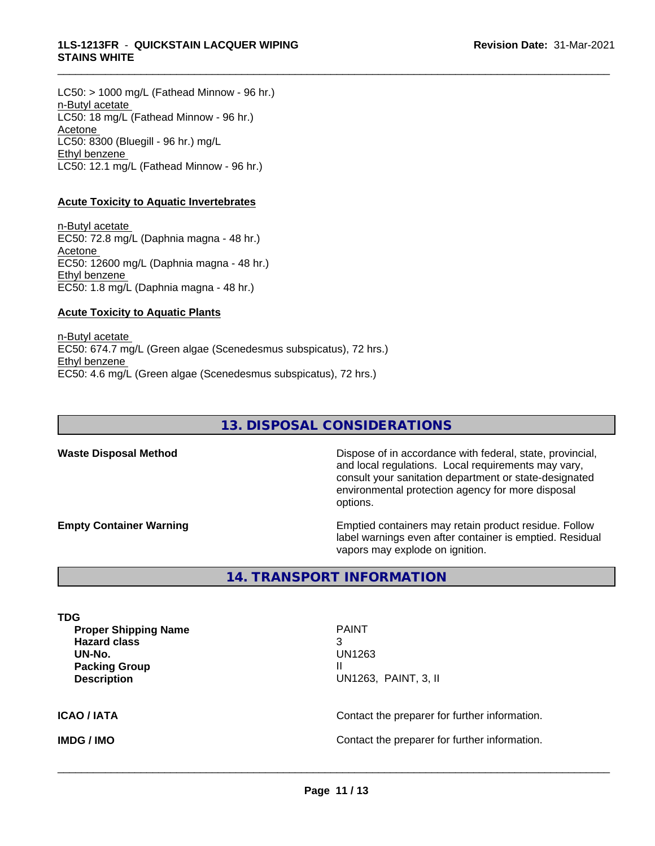$LC50:$  > 1000 mg/L (Fathead Minnow - 96 hr.) n-Butyl acetate LC50: 18 mg/L (Fathead Minnow - 96 hr.) Acetone LC50: 8300 (Bluegill - 96 hr.) mg/L Ethyl benzene LC50: 12.1 mg/L (Fathead Minnow - 96 hr.)

#### **Acute Toxicity to Aquatic Invertebrates**

n-Butyl acetate EC50: 72.8 mg/L (Daphnia magna - 48 hr.) Acetone EC50: 12600 mg/L (Daphnia magna - 48 hr.) Ethyl benzene EC50: 1.8 mg/L (Daphnia magna - 48 hr.)

#### **Acute Toxicity to Aquatic Plants**

n-Butyl acetate EC50: 674.7 mg/L (Green algae (Scenedesmus subspicatus), 72 hrs.) Ethyl benzene EC50: 4.6 mg/L (Green algae (Scenedesmus subspicatus), 72 hrs.)

# **13. DISPOSAL CONSIDERATIONS**

\_\_\_\_\_\_\_\_\_\_\_\_\_\_\_\_\_\_\_\_\_\_\_\_\_\_\_\_\_\_\_\_\_\_\_\_\_\_\_\_\_\_\_\_\_\_\_\_\_\_\_\_\_\_\_\_\_\_\_\_\_\_\_\_\_\_\_\_\_\_\_\_\_\_\_\_\_\_\_\_\_\_\_\_\_\_\_\_\_\_\_\_\_

**Waste Disposal Method Dispose of in accordance with federal, state, provincial,** and local regulations. Local requirements may vary, consult your sanitation department or state-designated environmental protection agency for more disposal options.

**Empty Container Warning <b>Emptied** Containers may retain product residue. Follow label warnings even after container is emptied. Residual vapors may explode on ignition.

# **14. TRANSPORT INFORMATION**

| TDG<br><b>Proper Shipping Name</b><br><b>Hazard class</b><br>UN-No.<br><b>Packing Group</b><br><b>Description</b> | <b>PAINT</b><br>3<br>UN1263<br>Ш<br>UN1263, PAINT, 3, II |  |  |  |
|-------------------------------------------------------------------------------------------------------------------|----------------------------------------------------------|--|--|--|
| ICAO / IATA                                                                                                       | Contact the preparer for further information.            |  |  |  |
| <b>IMDG / IMO</b>                                                                                                 | Contact the preparer for further information.            |  |  |  |
|                                                                                                                   |                                                          |  |  |  |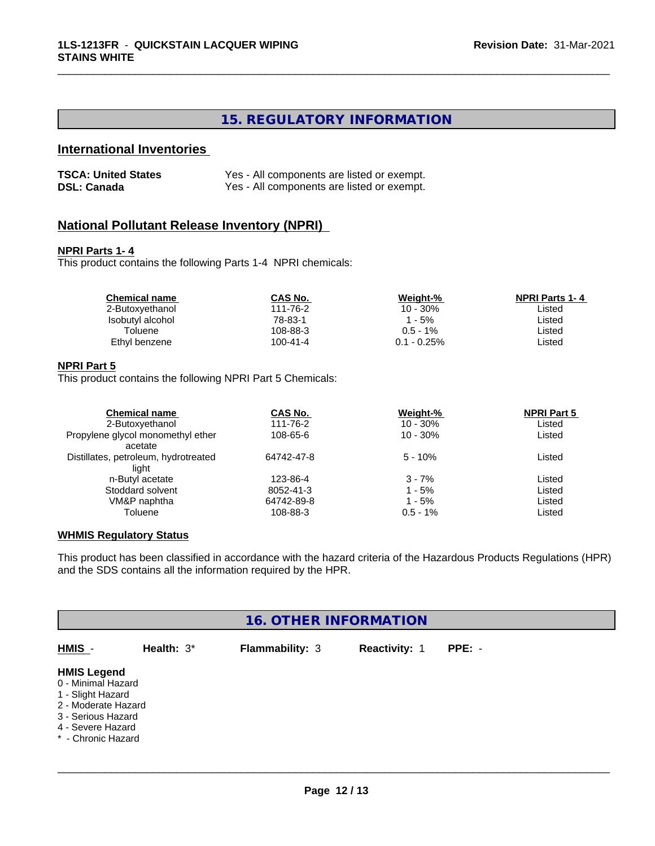# **15. REGULATORY INFORMATION**

\_\_\_\_\_\_\_\_\_\_\_\_\_\_\_\_\_\_\_\_\_\_\_\_\_\_\_\_\_\_\_\_\_\_\_\_\_\_\_\_\_\_\_\_\_\_\_\_\_\_\_\_\_\_\_\_\_\_\_\_\_\_\_\_\_\_\_\_\_\_\_\_\_\_\_\_\_\_\_\_\_\_\_\_\_\_\_\_\_\_\_\_\_

# **International Inventories**

| <b>TSCA: United States</b> | Yes - All components are listed or exempt. |
|----------------------------|--------------------------------------------|
| <b>DSL: Canada</b>         | Yes - All components are listed or exempt. |

# **National Pollutant Release Inventory (NPRI)**

#### **NPRI Parts 1- 4**

This product contains the following Parts 1-4 NPRI chemicals:

| <b>Chemical name</b> | <b>CAS No.</b> | Weight-%       | <b>NPRI Parts 1-4</b> |  |
|----------------------|----------------|----------------|-----------------------|--|
| 2-Butoxyethanol      | 111-76-2       | $10 - 30\%$    | ∟isted                |  |
| Isobutyl alcohol     | 78-83-1        | - 5%           | ∟isted                |  |
| Toluene              | 108-88-3       | $0.5 - 1\%$    | ∟isted                |  |
| Ethyl benzene        | 100-41-4       | $0.1 - 0.25\%$ | ∟isted                |  |
|                      |                |                |                       |  |

#### **NPRI Part 5**

This product contains the following NPRI Part 5 Chemicals:

| <b>Chemical name</b>                 | CAS No.    | Weight-%    | <b>NPRI Part 5</b> |  |
|--------------------------------------|------------|-------------|--------------------|--|
| 2-Butoxyethanol                      | 111-76-2   | $10 - 30\%$ | Listed             |  |
| Propylene glycol monomethyl ether    | 108-65-6   | $10 - 30%$  | Listed             |  |
| acetate                              |            |             |                    |  |
| Distillates, petroleum, hydrotreated | 64742-47-8 | $5 - 10%$   | Listed             |  |
| light                                |            |             |                    |  |
| n-Butyl acetate                      | 123-86-4   | $3 - 7%$    | Listed             |  |
| Stoddard solvent                     | 8052-41-3  | 1 - 5%      | Listed             |  |
| VM&P naphtha                         | 64742-89-8 | 1 - 5%      | Listed             |  |
| Toluene                              | 108-88-3   | $0.5 - 1\%$ | Listed             |  |

#### **WHMIS Regulatory Status**

This product has been classified in accordance with the hazard criteria of the Hazardous Products Regulations (HPR) and the SDS contains all the information required by the HPR.

|                                                                                                                                                       |            | <b>16. OTHER INFORMATION</b> |               |          |  |
|-------------------------------------------------------------------------------------------------------------------------------------------------------|------------|------------------------------|---------------|----------|--|
| HMIS -                                                                                                                                                | Health: 3* | <b>Flammability: 3</b>       | Reactivity: 1 | $PPE: -$ |  |
| <b>HMIS Legend</b><br>0 - Minimal Hazard<br>1 - Slight Hazard<br>2 - Moderate Hazard<br>3 - Serious Hazard<br>4 - Severe Hazard<br>* - Chronic Hazard |            |                              |               |          |  |